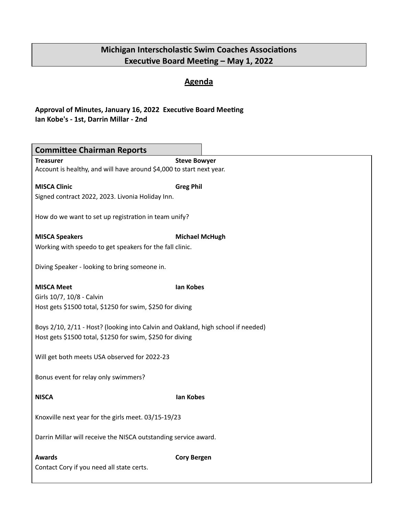## **Michigan Interscholastic Swim Coaches Associations Executive Board Meeting - May 1, 2022**

## **Agenda**

### Approval of Minutes, January 16, 2022 Executive Board Meeting **Ian Kobe's - 1st, Darrin Millar - 2nd**

| <b>Committee Chairman Reports</b>                                                |                       |  |
|----------------------------------------------------------------------------------|-----------------------|--|
| <b>Treasurer</b>                                                                 | <b>Steve Bowyer</b>   |  |
| Account is healthy, and will have around \$4,000 to start next year.             |                       |  |
|                                                                                  |                       |  |
| <b>MISCA Clinic</b>                                                              | <b>Greg Phil</b>      |  |
| Signed contract 2022, 2023. Livonia Holiday Inn.                                 |                       |  |
| How do we want to set up registration in team unify?                             |                       |  |
| <b>MISCA Speakers</b>                                                            | <b>Michael McHugh</b> |  |
| Working with speedo to get speakers for the fall clinic.                         |                       |  |
|                                                                                  |                       |  |
| Diving Speaker - looking to bring someone in.                                    |                       |  |
|                                                                                  |                       |  |
| <b>MISCA Meet</b>                                                                | lan Kobes             |  |
| Girls 10/7, 10/8 - Calvin                                                        |                       |  |
| Host gets \$1500 total, \$1250 for swim, \$250 for diving                        |                       |  |
|                                                                                  |                       |  |
| Boys 2/10, 2/11 - Host? (looking into Calvin and Oakland, high school if needed) |                       |  |
| Host gets \$1500 total, \$1250 for swim, \$250 for diving                        |                       |  |
|                                                                                  |                       |  |
| Will get both meets USA observed for 2022-23                                     |                       |  |
|                                                                                  |                       |  |
| Bonus event for relay only swimmers?                                             |                       |  |
| <b>NISCA</b>                                                                     | <b>Ian Kobes</b>      |  |
|                                                                                  |                       |  |
| Knoxville next year for the girls meet. 03/15-19/23                              |                       |  |
|                                                                                  |                       |  |
| Darrin Millar will receive the NISCA outstanding service award.                  |                       |  |
|                                                                                  |                       |  |
| <b>Awards</b>                                                                    | <b>Cory Bergen</b>    |  |
| Contact Cory if you need all state certs.                                        |                       |  |
|                                                                                  |                       |  |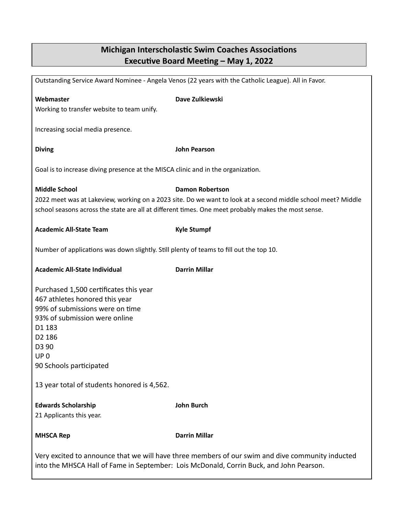# **Michigan Interscholastic Swim Coaches Associations Executive Board Meeting - May 1, 2022**

| Outstanding Service Award Nominee - Angela Venos (22 years with the Catholic League). All in Favor.                                                                                                                                                                   |                      |  |
|-----------------------------------------------------------------------------------------------------------------------------------------------------------------------------------------------------------------------------------------------------------------------|----------------------|--|
| Webmaster                                                                                                                                                                                                                                                             | Dave Zulkiewski      |  |
| Working to transfer website to team unify.                                                                                                                                                                                                                            |                      |  |
| Increasing social media presence.                                                                                                                                                                                                                                     |                      |  |
| <b>Diving</b>                                                                                                                                                                                                                                                         | <b>John Pearson</b>  |  |
| Goal is to increase diving presence at the MISCA clinic and in the organization.                                                                                                                                                                                      |                      |  |
| <b>Middle School</b><br><b>Damon Robertson</b><br>2022 meet was at Lakeview, working on a 2023 site. Do we want to look at a second middle school meet? Middle<br>school seasons across the state are all at different times. One meet probably makes the most sense. |                      |  |
| <b>Academic All-State Team</b>                                                                                                                                                                                                                                        | <b>Kyle Stumpf</b>   |  |
| Number of applications was down slightly. Still plenty of teams to fill out the top 10.                                                                                                                                                                               |                      |  |
| <b>Academic All-State Individual</b>                                                                                                                                                                                                                                  | <b>Darrin Millar</b> |  |
| Purchased 1,500 certificates this year<br>467 athletes honored this year<br>99% of submissions were on time<br>93% of submission were online<br>D1 183<br>D <sub>2</sub> 186<br>D3 90<br>UP <sub>0</sub><br>90 Schools participated                                   |                      |  |
| 13 year total of students honored is 4,562.                                                                                                                                                                                                                           |                      |  |
| <b>Edwards Scholarship</b><br>21 Applicants this year.                                                                                                                                                                                                                | <b>John Burch</b>    |  |
| <b>MHSCA Rep</b>                                                                                                                                                                                                                                                      | <b>Darrin Millar</b> |  |
| Very excited to announce that we will have three members of our swim and dive community inducted<br>into the MHSCA Hall of Fame in September: Lois McDonald, Corrin Buck, and John Pearson.                                                                           |                      |  |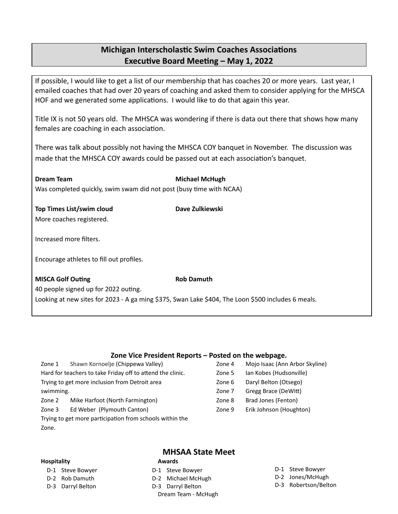## **Michigan Interscholastic Swim Coaches Associations Executive Board Meeting – May 1, 2022**

If possible, I would like to get a list of our membership that has coaches 20 or more years. Last year, I emailed coaches that had over 20 years of coaching and asked them to consider applying for the MHSCA HOF and we generated some applications. I would like to do that again this year.

Title IX is not 50 years old. The MHSCA was wondering if there is data out there that shows how many females are coaching in each association.

There was talk about possibly not having the MHSCA COY banquet in November. The discussion was made that the MHSCA COY awards could be passed out at each association's banquet.

**Dream Team Michael McHugh** Was completed quickly, swim swam did not post (busy time with NCAA)

**Top Times List/swim cloud Dave Zulkiewski** More coaches registered.

Increased more filters.

Encourage athletes to fill out profiles.

#### **MISCA** Golf Outing **Rob Rob** Damuth

40 people signed up for 2022 outing.

Looking at new sites for 2023 - A ga ming \$375, Swan Lake \$404, The Loon \$500 includes 6 meals.

#### **Zone Vice President Reports – Posted on the webpage.**

- Zone 1 Shawn Kornoelje (Chippewa Valley) Hard for teachers to take Friday off to attend the clinic. Trying to get more inclusion from Detroit area swimming. Zone 2 Mike Harfoot (North Farmington)
- 
- Zone 3 Ed Weber (Plymouth Canton)

Trying to get more participation from schools within the Zone.

- Zone 4 Mojo Isaac (Ann Arbor Skyline)
- Zone 5 Ian Kobes (Hudsonville)
- Zone 6 Daryl Belton (Otsego)
- Zone 7 Gregg Brace (DeWitt)
- Zone 8 Brad Jones (Fenton)
- Zone 9 Erik Johnson (Houghton)

#### **Hospitality**

D-1 Steve Bowyer D-2 Rob Damuth D-3 Darryl Belton

## **MHSAA State Meet**

- **Awards**
- D-1 Steve Bowyer D-2 Michael McHugh D-3 Darryl Belton Dream Team - McHugh
- D-1 Steve Bowyer
- D-2 Jones/McHugh
- D-3 Robertson/Belton